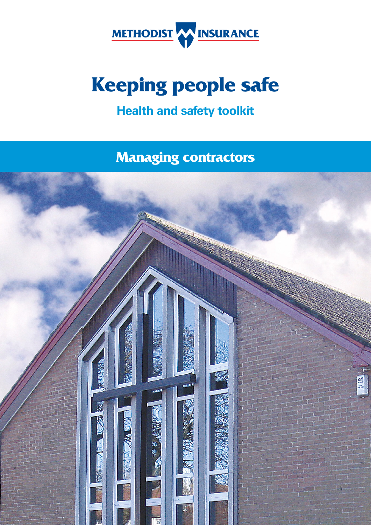

# **Keeping people safe**

## **Health and safety toolkit**

**Managing contractors** 

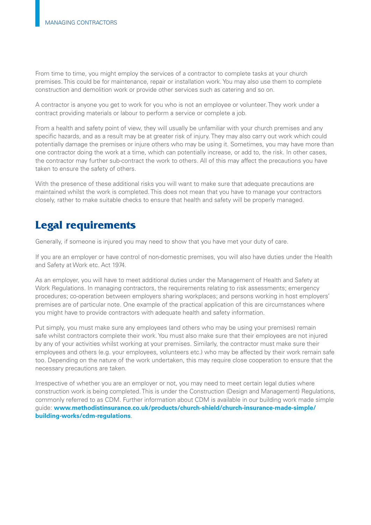From time to time, you might employ the services of a contractor to complete tasks at your church premises. This could be for maintenance, repair or installation work. You may also use them to complete construction and demolition work or provide other services such as catering and so on.

A contractor is anyone you get to work for you who is not an employee or volunteer. They work under a contract providing materials or labour to perform a service or complete a job.

From a health and safety point of view, they will usually be unfamiliar with your church premises and any specific hazards, and as a result may be at greater risk of injury. They may also carry out work which could potentially damage the premises or injure others who may be using it. Sometimes, you may have more than one contractor doing the work at a time, which can potentially increase, or add to, the risk. In other cases, the contractor may further sub-contract the work to others. All of this may affect the precautions you have taken to ensure the safety of others.

With the presence of these additional risks you will want to make sure that adequate precautions are maintained whilst the work is completed. This does not mean that you have to manage your contractors closely, rather to make suitable checks to ensure that health and safety will be properly managed.

## **Legal requirements**

Generally, if someone is injured you may need to show that you have met your duty of care.

If you are an employer or have control of non-domestic premises, you will also have duties under the Health and Safety at Work etc. Act 1974.

As an employer, you will have to meet additional duties under the Management of Health and Safety at Work Regulations. In managing contractors, the requirements relating to risk assessments; emergency procedures; co-operation between employers sharing workplaces; and persons working in host employers' premises are of particular note. One example of the practical application of this are circumstances where you might have to provide contractors with adequate health and safety information.

Put simply, you must make sure any employees (and others who may be using your premises) remain safe whilst contractors complete their work. You must also make sure that their employees are not injured by any of your activities whilst working at your premises. Similarly, the contractor must make sure their employees and others (e.g. your employees, volunteers etc.) who may be affected by their work remain safe too. Depending on the nature of the work undertaken, this may require close cooperation to ensure that the necessary precautions are taken.

Irrespective of whether you are an employer or not, you may need to meet certain legal duties where construction work is being completed. This is under the Construction (Design and Management) Regulations, commonly referred to as CDM. Further information about CDM is available in our building work made simple guide: **[www.methodistinsurance.co.uk/products/church-shield/church-insurance-made-simple/](www.methodistinsurance.co.uk/products/church-shield/church-insurance-made-simple/building-works/cdm-regulations) [building-works/cdm-regulations](www.methodistinsurance.co.uk/products/church-shield/church-insurance-made-simple/building-works/cdm-regulations)**.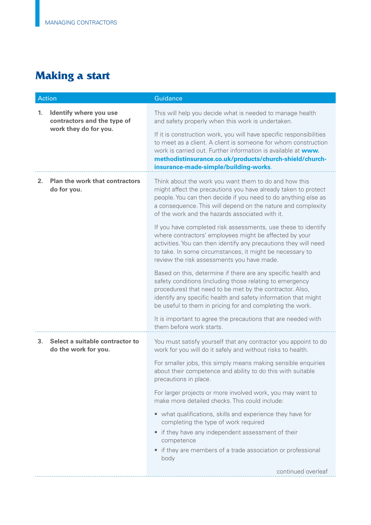# **Making a start**

| <b>Action</b> |                                                                                | Guidance                                                                                                                                                                                                                                                                                                             |
|---------------|--------------------------------------------------------------------------------|----------------------------------------------------------------------------------------------------------------------------------------------------------------------------------------------------------------------------------------------------------------------------------------------------------------------|
| 1.            | Identify where you use<br>contractors and the type of<br>work they do for you. | This will help you decide what is needed to manage health<br>and safety properly when this work is undertaken.                                                                                                                                                                                                       |
|               |                                                                                | If it is construction work, you will have specific responsibilities<br>to meet as a client. A client is someone for whom construction<br>work is carried out. Further information is available at www.<br>methodistinsurance.co.uk/products/church-shield/church-<br>insurance-made-simple/building-works.           |
| 2.            | <b>Plan the work that contractors</b><br>do for you.                           | Think about the work you want them to do and how this<br>might affect the precautions you have already taken to protect<br>people. You can then decide if you need to do anything else as<br>a consequence. This will depend on the nature and complexity<br>of the work and the hazards associated with it.         |
|               |                                                                                | If you have completed risk assessments, use these to identify<br>where contractors' employees might be affected by your<br>activities. You can then identify any precautions they will need<br>to take. In some circumstances, it might be necessary to<br>review the risk assessments you have made.                |
|               |                                                                                | Based on this, determine if there are any specific health and<br>safety conditions (including those relating to emergency<br>procedures) that need to be met by the contractor. Also,<br>identify any specific health and safety information that might<br>be useful to them in pricing for and completing the work. |
|               |                                                                                | It is important to agree the precautions that are needed with<br>them before work starts.                                                                                                                                                                                                                            |
| 3.            | Select a suitable contractor to<br>do the work for you.                        | You must satisfy yourself that any contractor you appoint to do<br>work for you will do it safely and without risks to health.                                                                                                                                                                                       |
|               |                                                                                | For smaller jobs, this simply means making sensible enquiries<br>about their competence and ability to do this with suitable<br>precautions in place.                                                                                                                                                                |
|               |                                                                                | For larger projects or more involved work, you may want to<br>make more detailed checks. This could include:                                                                                                                                                                                                         |
|               |                                                                                | • what qualifications, skills and experience they have for<br>completing the type of work required                                                                                                                                                                                                                   |
|               |                                                                                | • if they have any independent assessment of their<br>competence                                                                                                                                                                                                                                                     |
|               |                                                                                | • if they are members of a trade association or professional<br>body                                                                                                                                                                                                                                                 |
|               |                                                                                | continued overleaf                                                                                                                                                                                                                                                                                                   |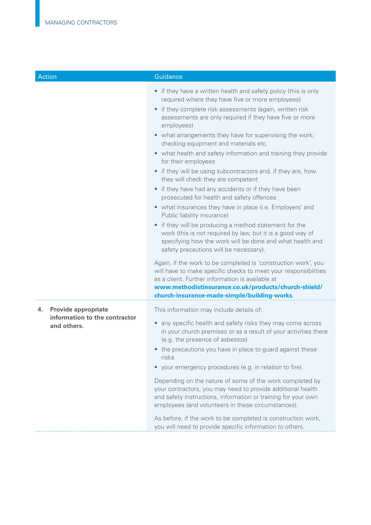| <b>Action</b>                                                                    | Guidance                                                                                                                                                                                                                                                                                                                                                                                                                                                                                                                                                                                                                                                                                                                                                                                                                                                                                                                                                                                                                                                                                                                                                                             |
|----------------------------------------------------------------------------------|--------------------------------------------------------------------------------------------------------------------------------------------------------------------------------------------------------------------------------------------------------------------------------------------------------------------------------------------------------------------------------------------------------------------------------------------------------------------------------------------------------------------------------------------------------------------------------------------------------------------------------------------------------------------------------------------------------------------------------------------------------------------------------------------------------------------------------------------------------------------------------------------------------------------------------------------------------------------------------------------------------------------------------------------------------------------------------------------------------------------------------------------------------------------------------------|
|                                                                                  | • if they have a written health and safety policy (this is only<br>required where they have five or more employees)<br>• if they complete risk assessments (again, written risk<br>assessments are only required if they have five or more<br>employees)<br>• what arrangements they have for supervising the work;<br>checking equipment and materials etc.<br>• what health and safety information and training they provide<br>for their employees<br>• if they will be using subcontractors and, if they are, how<br>they will check they are competent<br>• if they have had any accidents or if they have been<br>prosecuted for health and safety offences<br>• what insurances they have in place (i.e. Employers' and<br>Public liability insurance)<br>• if they will be producing a method statement for the<br>work (this is not required by law, but it is a good way of<br>specifying how the work will be done and what health and<br>safety precautions will be necessary).<br>Again, if the work to be completed is 'construction work', you<br>will have to make specific checks to meet your responsibilities<br>as a client. Further information is available at |
|                                                                                  | www.methodistinsurance.co.uk/products/church-shield/<br>church-insurance-made-simple/building-works.                                                                                                                                                                                                                                                                                                                                                                                                                                                                                                                                                                                                                                                                                                                                                                                                                                                                                                                                                                                                                                                                                 |
| <b>Provide appropriate</b><br>4.<br>information to the contractor<br>and others. | This information may include details of:<br>• any specific health and safety risks they may come across<br>in your church premises or as a result of your activities there<br>(e.g. the presence of asbestos)<br>• the precautions you have in place to guard against these<br>risks<br>• your emergency procedures (e.g. in relation to fire).<br>Depending on the nature of some of the work completed by<br>your contractors, you may need to provide additional health<br>and safety instructions, information or training for your own<br>employees (and volunteers in these circumstances).<br>As before, if the work to be completed is construction work,<br>you will need to provide specific information to others.                                                                                                                                                                                                                                                                                                                                                                                                                                                        |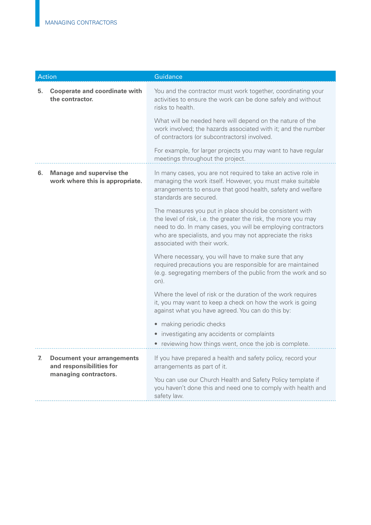| <b>Action</b> |                                                                    | Guidance                                                                                                                                                                                                                                                                              |
|---------------|--------------------------------------------------------------------|---------------------------------------------------------------------------------------------------------------------------------------------------------------------------------------------------------------------------------------------------------------------------------------|
| 5.            | <b>Cooperate and coordinate with</b><br>the contractor.            | You and the contractor must work together, coordinating your<br>activities to ensure the work can be done safely and without<br>risks to health.                                                                                                                                      |
|               |                                                                    | What will be needed here will depend on the nature of the<br>work involved; the hazards associated with it; and the number<br>of contractors (or subcontractors) involved.                                                                                                            |
|               |                                                                    | For example, for larger projects you may want to have regular<br>meetings throughout the project.                                                                                                                                                                                     |
| 6.            | <b>Manage and supervise the</b><br>work where this is appropriate. | In many cases, you are not required to take an active role in<br>managing the work itself. However, you must make suitable<br>arrangements to ensure that good health, safety and welfare<br>standards are secured.                                                                   |
|               |                                                                    | The measures you put in place should be consistent with<br>the level of risk, i.e. the greater the risk, the more you may<br>need to do. In many cases, you will be employing contractors<br>who are specialists, and you may not appreciate the risks<br>associated with their work. |
|               |                                                                    | Where necessary, you will have to make sure that any<br>required precautions you are responsible for are maintained<br>(e.g. segregating members of the public from the work and so<br>on).                                                                                           |
|               |                                                                    | Where the level of risk or the duration of the work requires<br>it, you may want to keep a check on how the work is going<br>against what you have agreed. You can do this by:                                                                                                        |
|               |                                                                    | • making periodic checks<br>investigating any accidents or complaints<br>• reviewing how things went, once the job is complete.                                                                                                                                                       |
| 7.            | <b>Document your arrangements</b><br>and responsibilities for      | If you have prepared a health and safety policy, record your<br>arrangements as part of it.                                                                                                                                                                                           |
|               | managing contractors.                                              | You can use our Church Health and Safety Policy template if<br>you haven't done this and need one to comply with health and<br>safety law.                                                                                                                                            |